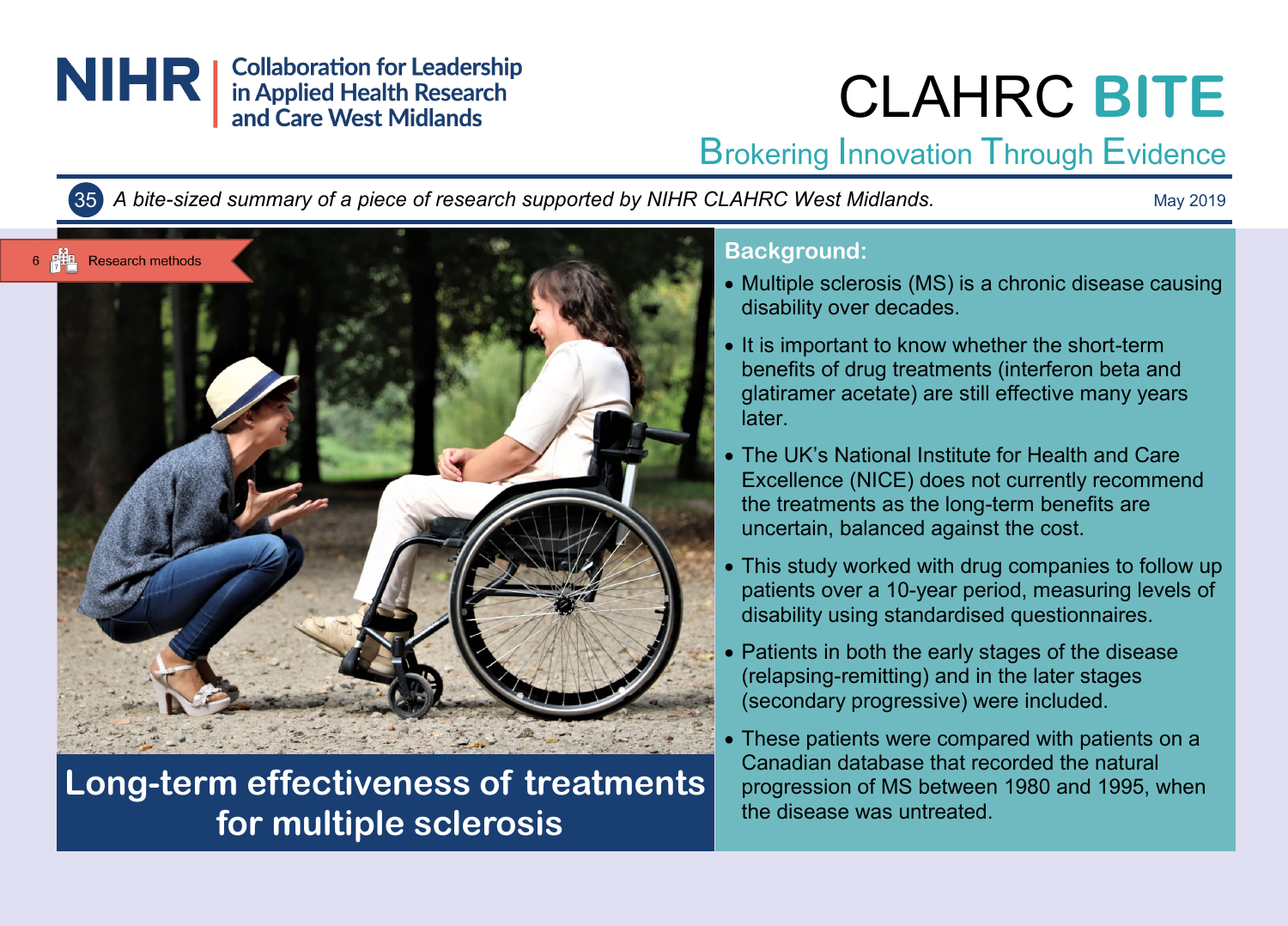

# CLAHRC **BITE**

## Brokering Innovation Through Evidence

35 *A bite-sized summary of a piece of research supported by NIHR CLAHRC West Midlands.*

May 2019



## **Long-term effectiveness of treatments for multiple sclerosis**

#### **Background:**

- Multiple sclerosis (MS) is a chronic disease causing disability over decades.
- It is important to know whether the short-term benefits of drug treatments (interferon beta and glatiramer acetate) are still effective many years later.
- The UK's National Institute for Health and Care Excellence (NICE) does not currently recommend the treatments as the long-term benefits are uncertain, balanced against the cost.
- This study worked with drug companies to follow up patients over a 10-year period, measuring levels of disability using standardised questionnaires.
- Patients in both the early stages of the disease (relapsing-remitting) and in the later stages (secondary progressive) were included.
- These patients were compared with patients on a Canadian database that recorded the natural progression of MS between 1980 and 1995, when the disease was untreated.